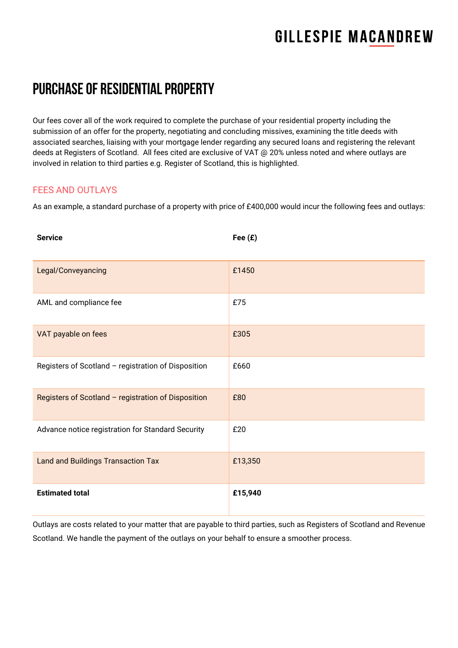# **GILLESPIE MACANDREW**

### PURCHASE OF RESIDENTIAL PROPERTY

Our fees cover all of the work required to complete the purchase of your residential property including the submission of an offer for the property, negotiating and concluding missives, examining the title deeds with associated searches, liaising with your mortgage lender regarding any secured loans and registering the relevant deeds at Registers of Scotland. All fees cited are exclusive of VAT @ 20% unless noted and where outlays are involved in relation to third parties e.g. Register of Scotland, this is highlighted.

#### FEES AND OUTLAYS

As an example, a standard purchase of a property with price of £400,000 would incur the following fees and outlays:

| <b>Service</b>                                      | Fee $(E)$ |
|-----------------------------------------------------|-----------|
| Legal/Conveyancing                                  | £1450     |
| AML and compliance fee                              | £75       |
| VAT payable on fees                                 | £305      |
| Registers of Scotland - registration of Disposition | £660      |
| Registers of Scotland - registration of Disposition | £80       |
| Advance notice registration for Standard Security   | £20       |
| <b>Land and Buildings Transaction Tax</b>           | £13,350   |
| <b>Estimated total</b>                              | £15,940   |

Outlays are costs related to your matter that are payable to third parties, such as Registers of Scotland and Revenue Scotland. We handle the payment of the outlays on your behalf to ensure a smoother process.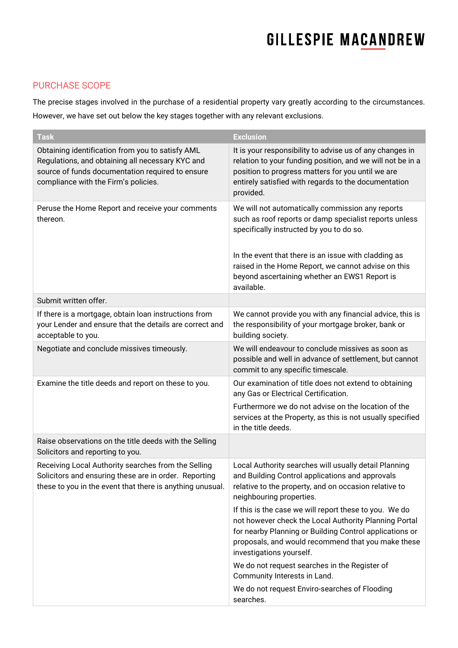# **GILLESPIE MACANDREW**

### PURCHASE SCOPE

The precise stages involved in the purchase of a residential property vary greatly according to the circumstances. However, we have set out below the key stages together with any relevant exclusions.

| <b>Task</b>                                                                                                                                                                                      | <b>Exclusion</b>                                                                                                                                                                                                                                                                                                                     |
|--------------------------------------------------------------------------------------------------------------------------------------------------------------------------------------------------|--------------------------------------------------------------------------------------------------------------------------------------------------------------------------------------------------------------------------------------------------------------------------------------------------------------------------------------|
| Obtaining identification from you to satisfy AML<br>Regulations, and obtaining all necessary KYC and<br>source of funds documentation required to ensure<br>compliance with the Firm's policies. | It is your responsibility to advise us of any changes in<br>relation to your funding position, and we will not be in a<br>position to progress matters for you until we are<br>entirely satisfied with regards to the documentation<br>provided.                                                                                     |
| Peruse the Home Report and receive your comments<br>thereon.                                                                                                                                     | We will not automatically commission any reports<br>such as roof reports or damp specialist reports unless<br>specifically instructed by you to do so.<br>In the event that there is an issue with cladding as<br>raised in the Home Report, we cannot advise on this<br>beyond ascertaining whether an EWS1 Report is<br>available. |
| Submit written offer.                                                                                                                                                                            |                                                                                                                                                                                                                                                                                                                                      |
| If there is a mortgage, obtain loan instructions from<br>your Lender and ensure that the details are correct and<br>acceptable to you.                                                           | We cannot provide you with any financial advice, this is<br>the responsibility of your mortgage broker, bank or<br>building society.                                                                                                                                                                                                 |
| Negotiate and conclude missives timeously.                                                                                                                                                       | We will endeavour to conclude missives as soon as<br>possible and well in advance of settlement, but cannot<br>commit to any specific timescale.                                                                                                                                                                                     |
| Examine the title deeds and report on these to you.                                                                                                                                              | Our examination of title does not extend to obtaining<br>any Gas or Electrical Certification.<br>Furthermore we do not advise on the location of the<br>services at the Property, as this is not usually specified<br>in the title deeds.                                                                                            |
| Raise observations on the title deeds with the Selling<br>Solicitors and reporting to you.                                                                                                       |                                                                                                                                                                                                                                                                                                                                      |
| Receiving Local Authority searches from the Selling<br>Solicitors and ensuring these are in order. Reporting<br>these to you in the event that there is anything unusual.                        | Local Authority searches will usually detail Planning<br>and Building Control applications and approvals<br>relative to the property, and on occasion relative to<br>neighbouring properties.                                                                                                                                        |
|                                                                                                                                                                                                  | If this is the case we will report these to you. We do<br>not however check the Local Authority Planning Portal<br>for nearby Planning or Building Control applications or<br>proposals, and would recommend that you make these<br>investigations yourself.                                                                         |
|                                                                                                                                                                                                  | We do not request searches in the Register of<br>Community Interests in Land.                                                                                                                                                                                                                                                        |
|                                                                                                                                                                                                  | We do not request Enviro-searches of Flooding<br>searches.                                                                                                                                                                                                                                                                           |